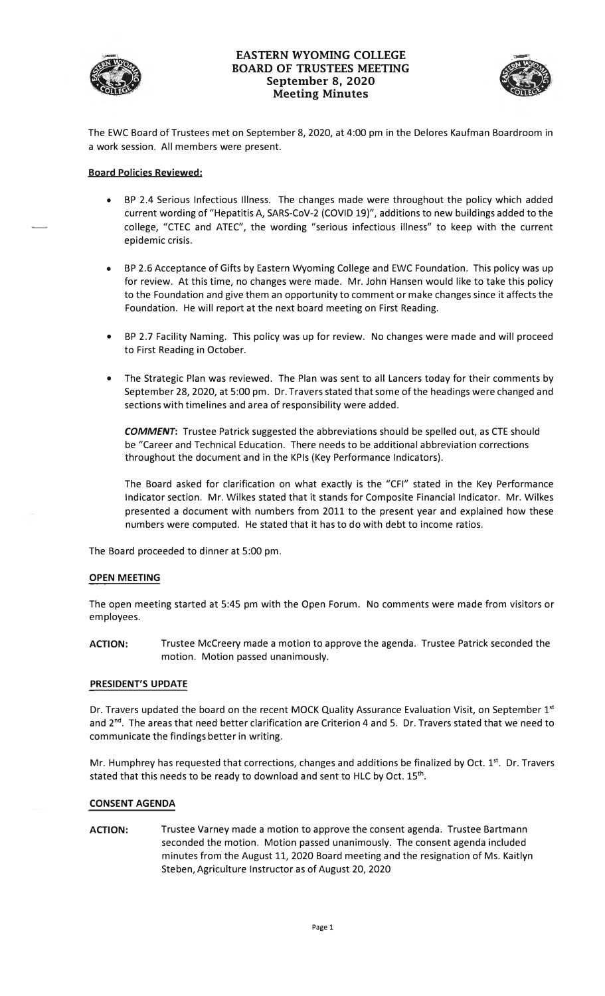

# **EASTERN WYOMING COLLEGE BOARD OF TRUSTEES MEETING September 8, 2020**  RN WYOMING COLLEGE<br>
OF TRUSTEES MEETING<br>
eptember 8, 2020<br>
Meeting Minutes



The EWC Board of Trustees met on September 8, 2020, at 4:00 pm in the Delores Kaufman Boardroom in a work session. All members were present.

## **Board Policies Reviewed:**

- BP 2.4 Serious Infectious Illness. The changes made were throughout the policy which added current wording of "Hepatitis A, SARS-CoV-2 (COVID 19)", additions to new buildings added to the college, "CTEC and ATEC", the wording "serious infectious illness" to keep with the current epidemic crisis.
- BP 2.6 Acceptance of Gifts by Eastern Wyoming College and EWC Foundation. This policy was up for review. At this time, no changes were made. Mr. John Hansen would like to take this policy to the Foundation and give them an opportunity to comment or make changes since it affects the Foundation. He will report at the next board meeting on First Reading.
- BP 2.7 Facility Naming. This policy was up for review. No changes were made and will proceed to First Reading in October.
- The Strategic Plan was reviewed. The Plan was sent to all Lancers today for their comments by September 28, 2020, at 5:00 pm. Dr. Travers stated that some of the headings were changed and sections with timelines and area of responsibility were added.

*COMMENT:* Trustee Patrick suggested the abbreviations should be spelled out, as CTE should be "Career and Technical Education. There needs to be additional abbreviation corrections throughout the document and in the KPls (Key Performance Indicators).

The Board asked for clarification on what exactly is the "CFI" stated in the Key Performance Indicator section. Mr. Wilkes stated that it stands for Composite Financial Indicator. Mr. Wilkes presented a document with numbers from 2011 to the present year and explained how these numbers were computed. He stated that it has to do with debt to income ratios.

The Board proceeded to dinner at 5:00 pm.

#### **OPEN MEETING**

The open meeting started at 5:45 pm with the Open Forum. No comments were made from visitors or employees.

**ACTION:** Trustee Mccreery made a motion to approve the agenda. Trustee Patrick seconded the motion. Motion passed unanimously.

#### **PRESIDENT'S UPDATE**

Dr. Travers updated the board on the recent MOCK Quality Assurance Evaluation Visit, on September 1st and 2<sup>nd</sup>. The areas that need better clarification are Criterion 4 and 5. Dr. Travers stated that we need to communicate the findings better in writing.

Mr. Humphrey has requested that corrections, changes and additions be finalized by Oct. 1<sup>st</sup>. Dr. Travers stated that this needs to be ready to download and sent to HLC by Oct. 15th.

# **CONSENT AGENDA**

**ACTION:** Trustee Varney made a motion to approve the consent agenda. Trustee Bartmann seconded the motion. Motion passed unanimously. The consent agenda included minutes from the August 11, 2020 Board meeting and the resignation of Ms. Kaitlyn Steben, Agriculture Instructor as of August 20, 2020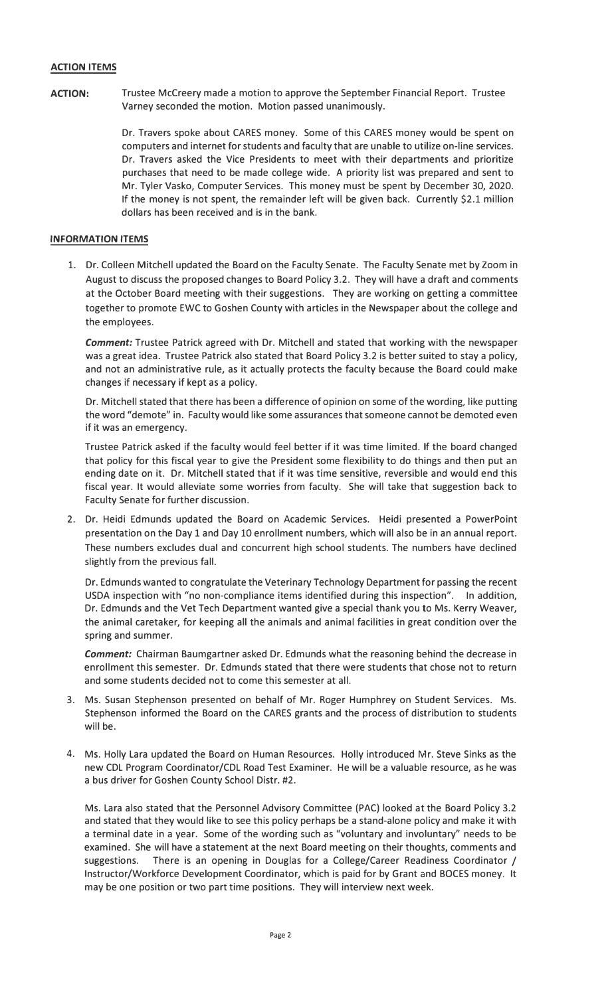## **ACTION ITEMS**

**ACTION:** Trustee Mccreery made a motion to approve the September Financial Report. Trustee Varney seconded the motion. Motion passed unanimously.

> Dr. Travers spoke about CARES money. Some of this CARES money would be spent on computers and internet for students and faculty that are unable to utilize on-line services. Dr. Travers asked the Vice Presidents to meet with their departments and prioritize purchases that need to be made college wide. A priority list was prepared and sent to Mr. Tyler Vasko, Computer Services. This money must be spent by December 30, 2020. If the money is not spent, the remainder left will be given back. Currently \$2.1 million dollars has been received and is in the bank.

# **INFORMATION ITEMS**

1. Dr. Colleen Mitchell updated the Board on the Faculty Senate. The Faculty Senate met by Zoom in August to discuss the proposed changes to Board Policy 3.2. They will have a draft and comments at the October Board meeting with their suggestions. They are working on getting a committee together to promote EWC to Goshen County with articles in the Newspaper about the college and the employees.

*Comment:* Trustee Patrick agreed with Dr. Mitchell and stated that working with the newspaper was a great idea. Trustee Patrick also stated that Board Policy 3.2 is better suited to stay a policy, and not an administrative rule, as it actually protects the faculty because the Board could make changes if necessary if kept as a policy.

Dr. Mitchell stated that there has been a difference of opinion on some of the wording, like putting the word "demote" in. Faculty would like some assurances that someone cannot be demoted even if it was an emergency.

Trustee Patrick asked if the faculty would feel better if it was time limited. If the board changed that policy for this fiscal year to give the President some flexibility to do things and then put an ending date on it. Dr. Mitchell stated that if it was time sensitive, reversible and would end this fiscal year. It would alleviate some worries from faculty. She will take that suggestion back to Faculty Senate for further discussion.

2. Dr. Heidi Edmunds updated the Board on Academic Services. Heidi presented a PowerPoint presentation on the Day 1 and Day 10 enrollment numbers, which will also be in an annual report. These numbers excludes dual and concurrent high school students. The numbers have declined slightly from the previous fall.

Dr. Edmunds wanted to congratulate the Veterinary Technology Department for passing the recent USDA inspection with "no non-compliance items identified during this inspection". In addition, Dr. Edmunds and the Vet Tech Department wanted give a special thank you to Ms. Kerry Weaver, the animal caretaker, for keeping all the animals and animal facilities in great condition over the spring and summer.

*Comment:* Chairman Baumgartner asked Dr. Edmunds what the reasoning behind the decrease in enrollment this semester. Dr. Edmunds stated that there were students that chose not to return and some students decided not to come this semester at all.

- 3. Ms. Susan Stephenson presented on behalf of Mr. Roger Humphrey on Student Services. Ms. Stephenson informed the Board on the CARES grants and the process of distribution to students will be.
- 4. Ms. Holly Lara updated the Board on Human Resources. Holly introduced Mr. Steve Sinks as the new CDL Program Coordinator/CDL Road Test Examiner. He will be a valuable resource, as he was a bus driver for Goshen County School Distr. #2.

Ms. Lara also stated that the Personnel Advisory Committee (PAC) looked at the Board Policy 3.2 and stated that they would like to see this policy perhaps be a stand-alone policy and make it with a terminal date in a year. Some of the wording such as "voluntary and involuntary" needs to be examined. She will have a statement at the next Board meeting on their thoughts, comments and suggestions. There is an opening in Douglas for a College/Career Readiness Coordinator / Instructor/Workforce Development Coordinator, which is paid for by Grant and BOCES money. It may be one position or two part time positions. They will interview next week.